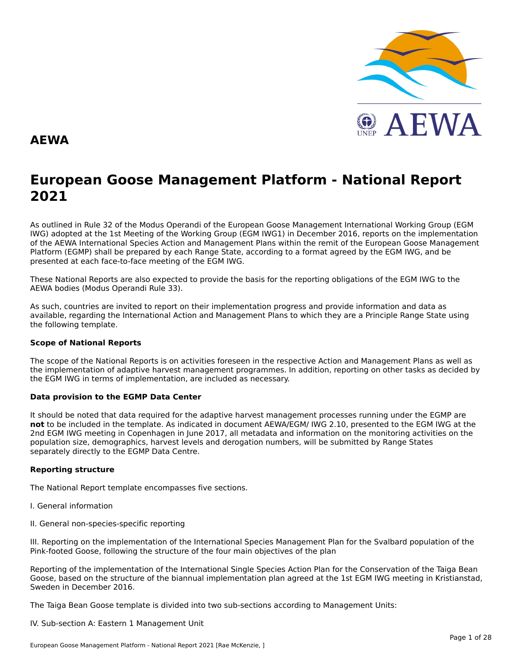

#### **AEWA**

# **European Goose Management Platform - National Report**European Goose Management Platform - National Report<br>2021

As outlined in Rule 32 of the Modus Operandi of the European Goose Management International Working Group (EGM As buthled in Rule 32 of the Modus Operandi of the Lufopean Goose Management International Working Group (LGM<br>IWG) adopted at the 1st Meeting of the Working Group (EGM IWG1) in December 2016, reports on the implementation of the AEWA International Species Action and Management Plans within the remit of the European Goose Management<br>of the AEWA International Species Action and Management Plans within the remit of the European Goose Managemen Platform (EGMP) shall be prepared by each Range State, according to a format agreed by the EGM IWG, and be presented at each face-to-face meeting of the EGM IWG.

These National Reports are also expected to provide the basis for the reporting obligations of the EGM IWG to the AEWA bodies (Modus Operandi Rule 33).

As such, countries are invited to report on their implementation progress and provide information and data asAs such, countries are invited to report on their implementation progress and provide imomiation and data as<br>available, regarding the International Action and Management Plans to which they are a Principle Range State usin the following template.

#### **Scope of National Reports**

The scope of the National Reports is on activities foreseen in the respective Action and Management Plans as well as<br>the invalence total of adoptive harvest management are respective and dition are atting on other today as the implementation of adaptive harvest management programmes. In addition, reporting on other tasks as decided by the EGM IWG in terms of implementation, are included as necessary.

#### **Data provision to the EGMP Data Center**

It should be noted that data required for the adaptive harvest management processes running under the EGMP are not to be included in the template. As indicated in document AEWA/EGM/ IWG 2.10, presented to the EGM IWG at the 2nd EGM IWG meeting in Copenhagen in June 2017, all metadata and information on the monitoring activities on the population size, demographics, harvest levels and derogation numbers, will be submitted by Range States separately directly to the EGMP Data Centre.

#### **Reporting structure**

The National Report template encompasses five sections.

- I. General information
- II. General non-species-specific reporting

III. Reporting on the implementation of the International Species Management Plan for the Svalbard population of the Pink-footed Goose, following the structure of the four main objectives of the plan

Reporting of the implementation of the International Single Species Action Plan for the Conservation of the Taiga Bean Goose, based on the structure of the biannual implementation plan agreed at the 1st EGM IWG meeting in Kristianstad, Sweden in December 2016.

The Taiga Bean Goose template is divided into two sub-sections according to Management Units:

IV. Sub-section A: Eastern 1 Management Unit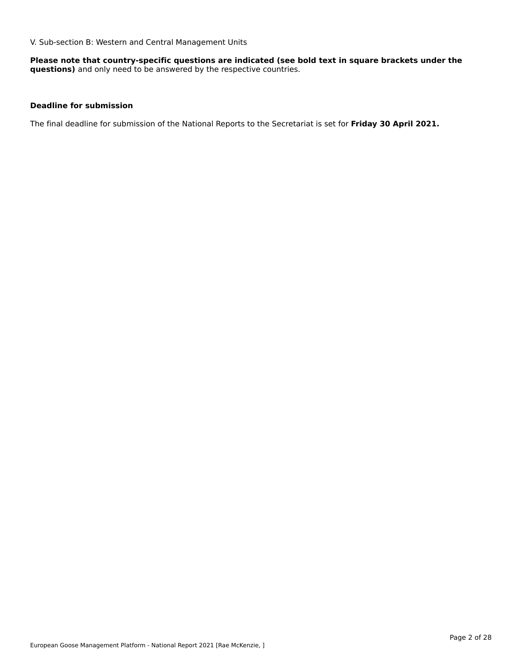V. Sub-section B: Western and Central Management Units

**Please note that country-specific questions are indicated (see bold text in square brackets under the questions)** and only need to be answered by the respective countries.

#### **Deadline for submission**

The final deadline for submission of the National Reports to the Secretariat is set for **Friday 30 April 2021.**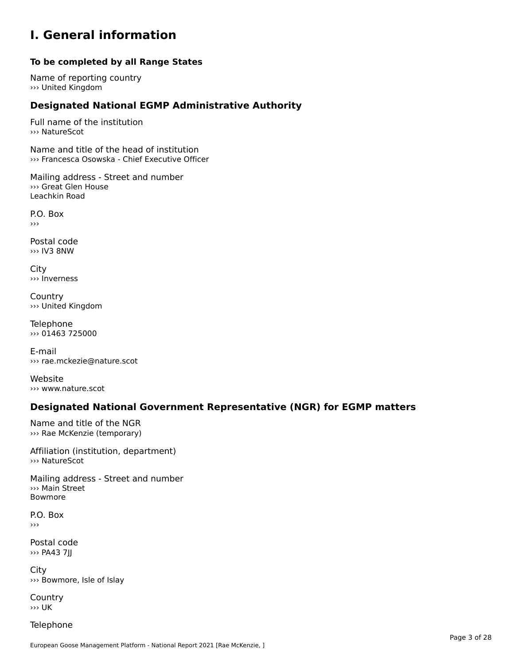### **I. General information**

### **To be completed by all Range States**

Name of reporting country ››› United Kingdom

# **Designated National EGMP Administrative Authority**

Full name of the institution››› NatureScot

Name and title of the head of institution ››› Francesca Osowska - Chief Executive Officer

Mailing address - Street and number ››› Great Glen HouseLeachkin Road

P.O. Box›››

Postal code››› IV3 8NW

City ››› Inverness

**Country** ››› United Kingdom

Telephone ››› 01463 725000

E-mail››› rae.mckezie@nature.scot

Website ››› www.nature.scot

### **Designated National Government Representative (NGR) for EGMP matters**

Name and title of the NGR››› Rae McKenzie (temporary)

Affiliation (institution, department)

Mailing address - Street and number ››› Main Street Bowmore

P.O. Box›››

Postal code ››› PA43 7JJ

City ››› Bowmore, Isle of Islay

**Country** ››› UK

Telephone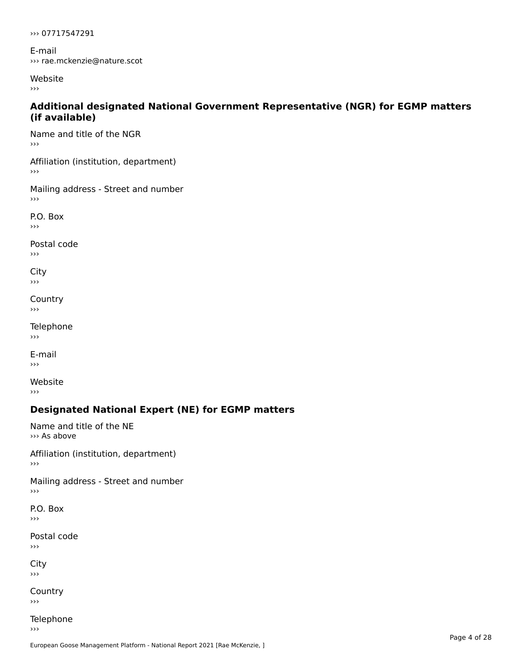››› 07717547291

E-mail ››› rae.mckenzie@nature.scot

Website

 $\rightarrow$   $>$ 

#### **Additional designated National Government Representative (NGR) for EGMP matters (if available)**

Name and title of the NGR ›››

Affiliation (institution, department) ጣ!<br>›››

Mailing address - Street and number  $\rightarrow$   $>$ 

P.O. Box ›››

Postal code ں <sub>ا</sub><br>‹‹‹

City ااب<br><<

**Country**  $\rightarrow$   $>$ 

Telephone  $\rightarrow$   $>$ 

E-mail›››

Website›››

# **Designated National Expert (NE) for EGMP matters**

Name and title of the NE››› As above

Affiliation (institution, department)›››

Mailing address - Street and number

P.O. Box

Postal code  $\rightarrow$   $>$ 

City  $\rightarrow$ 

**Country** 

Telephone  $\rightarrow$   $>$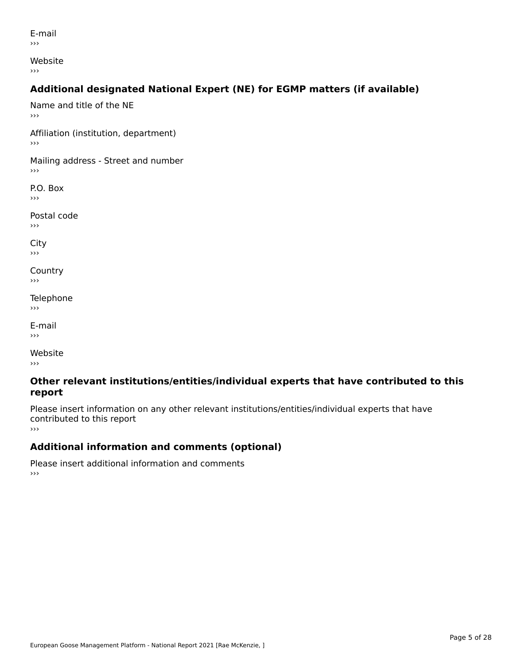E-mail›››

Website

›››

# **Additional designated National Expert (NE) for EGMP matters (if available)**

Name and title of the NE›››Affiliation (institution, department) Mailing address - Street and number  $\rightarrow$   $>$ P.O. Box ›››Postal codeں <sub>ا</sub> City ااب<br><< **Country**  $\rightarrow$   $>$ Telephone ›››E-mail›››Website›››

#### **Other relevant institutions/entities/individual experts that have contributed to this report**report

Please insert information on any other relevant institutions/entities/individual experts that have contributed to this report ›››

# **Additional information and comments (optional)**

Please insert additional information and comments ›››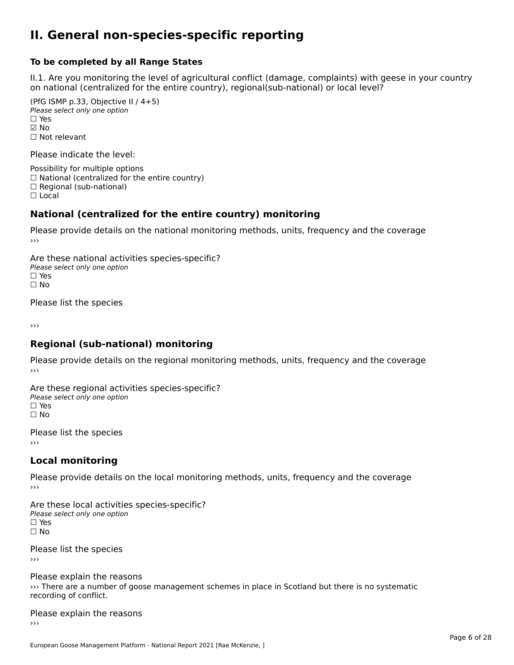#### **II. General non-species-specific reporting**

#### **To be completed by all Range States**

II.1. Are you monitoring the level of agricultural conflict (damage, complaints) with geese in your country on national (centralized for the entire country), regional(sub-national) or local level?

(PfG ISMP p.33, Objective II  $(4+5)$ ) ∪ ISMIT p.55, Objective<br>Please select only one option ☑ No☐ Not relevant

Please indicate the level:

Possibility for multiple options  $\Box$  National (centralized for the entire country)  $\Box$  Regional (sub-national)

☐ Local

#### **National (centralized for the entire country) monitoring**

Please provide details on the national monitoring methods, units, frequency and the coverage

Are these national activities species-specific? Please select only one optionPlease select only one option<br>□ Yes ים וכ<br>⊡ No

Please list the species

›››

#### **Regional (sub-national) monitoring**

Please provide details on the regional monitoring methods, units, frequency and the coverage

Are these regional activities species-specific? ∩ne these regional activ<br>Please select only one option □ Yes<br>□ No

Please list the species ›››

#### **Local monitoring**

Please provide details on the local monitoring methods, units, frequency and the coverage

Are these local activities species-specific? Please select only one optionriease<br>□ Yes □ Yes<br>□ No

Please list the species ›››

Please explain the reasons ››› There are a number of goose management schemes in place in Scotland but there is no systematic recording of conflict.recording of conflict.

Please explain the reasons ›››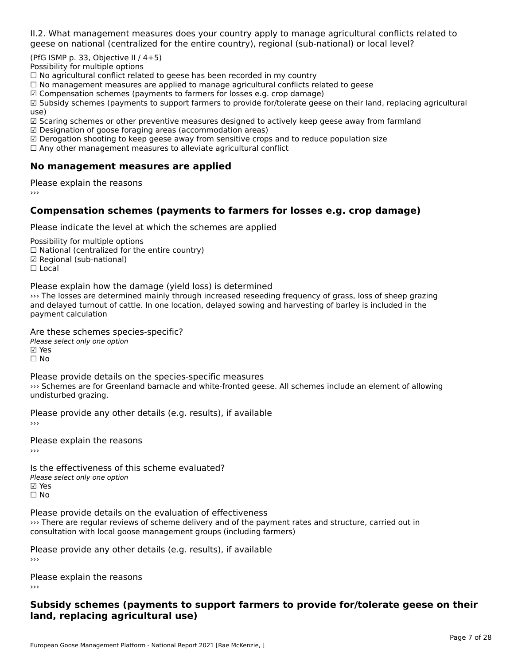II.2. What management measures does your country apply to manage agricultural conflicts related to

(PfG ISMP p. 33, Objective II  $/$  4+5)

Possibility for multiple options

™assibility for maltiple options<br>□ No agricultural conflict related to geese has been recorded in my country

 $\Box$  No management measures are applied to manage agricultural conflicts related to geese

☑ Compensation schemes (payments to farmers for losses e.g. crop damage)

ක compensation schemes (payments to farmers for losses e.g. crop damage)<br>Manusidy schemes (payments to support farmers to provide for/tolerate geese on their land, replacing agricultural use)

use)<br>☑ Scaring schemes or other preventive measures designed to actively keep geese away from farmland

 $\boxtimes$  Designation of goose foraging areas (accommodation areas)

□ Designation of goose foraging areas (accommodation areas)<br>□ Derogation shooting to keep geese away from sensitive crops and to reduce population size

 $\Box$  Any other management measures to alleviate agricultural conflict

### **No management measures are applied**

Please explain the reasons ›››

## **Compensation schemes (payments to farmers for losses e.g. crop damage)**

Please indicate the level at which the schemes are applied

Possibility for multiple options rossibility for multiple options<br>□ National (centralized for the entire country) □ National (centralized io<br>☑ Regional (sub-national) ⊠ Regio<br>□ Local

Please explain how the damage (yield loss) is determined

I lease explain how the damage (yield loss) is determined<br>
So The losses are determined mainly through increased reseeding frequency of grass, loss of sheep grazing payment calculationpayment calculation

Are these schemes species-specific?

Please select only one option ☑ Yes

☐ No

Please provide details on the species-specific measures riedse provide details on the species-specific medistries<br>>>> Schemes are for Greenland barnacle and white-fronted geese. All schemes include an element of allowing undisturbed grazing.

Please provide any other details (e.g. results), if available

Please explain the reasons

Is the effectiveness of this scheme evaluated?Please select only one option ☑ Yes☐ No

Please provide details on the evaluation of effectiveness shows the provide declaris on the evaluation of encerveness<br>
So There are regular reviews of scheme delivery and of the payment rates and structure, carried out in consultation with local goose management groups (including farmers)

Please provide any other details (e.g. results), if available

Please explain the reasons

#### **Subsidy schemes (payments to support farmers to provide for/tolerate geese on their land, replacing agricultural use)**land, replacing agricultural use)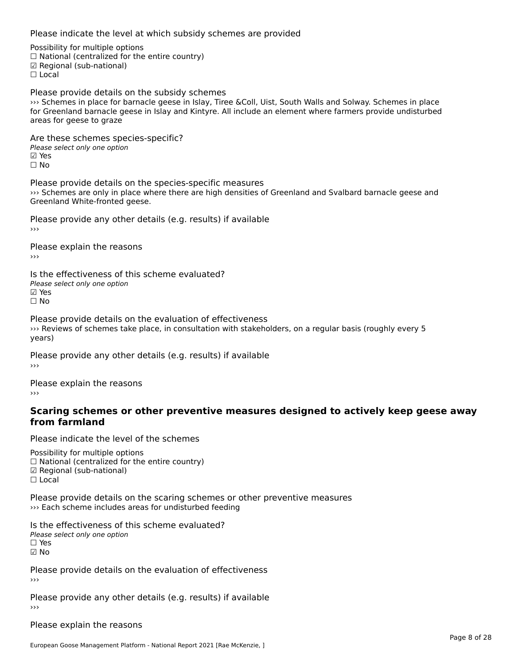Please indicate the level at which subsidy schemes are provided

Possibility for multiple options rossibility for multiple options<br>□ National (centralized for the entire country) □ Rational (centralized io<br>☑ Regional (sub-national)

Please provide details on the subsidy schemes ››› Schemes in place for barnacle geese in Islay, Tiree &Coll, Uist, South Walls and Solway. Schemes in place For Greenland barnacle geese in Islay, the execution of the situation whis and Solway. Schemes in place for Greenland barnacle geese in Islay and Kintyre. All include an element where farmers provide undisturbed areas for geese to graze

Are these schemes species-specific?∧e chese senemes spee<br>Please select only one option **☑ Yes**<br>□ No

Please provide details on the species-specific measures ››› Schemes are only in place where there are high densities of Greenland and Svalbard barnacle geese and scrientes are only in place with<br>Greenland White-fronted geese.

Please provide any other details (e.g. results) if available

Please explain the reasons

Is the effectiveness of this scheme evaluated? Please select only one optionriease<br>☑ Yes ☐ No

Please provide details on the evaluation of effectiveness I lease provide details off the evaluation of enectiveness<br>>>> Reviews of schemes take place, in consultation with stakeholders, on a regular basis (roughly every 5 years)

Please provide any other details (e.g. results) if available

Please explain the reasons›››

#### **Scaring schemes or other preventive measures designed to actively keep geese awayfrom farmland**

Please indicate the level of the schemes

Possibility for multiple options rossibility for multiple options<br>□ National (centralized for the entire country) □ National (centralized io<br>☑ Regional (sub-national) ☐ Local

Please provide details on the scaring schemes or other preventive measures ››› Each scheme includes areas for undisturbed feeding

Is the effectiveness of this scheme evaluated? □ CITC CITCCLIVERESS OF C<br>Please select only one option ☑ No

Please provide details on the evaluation of effectiveness

Please provide any other details (e.g. results) if available

Please explain the reasons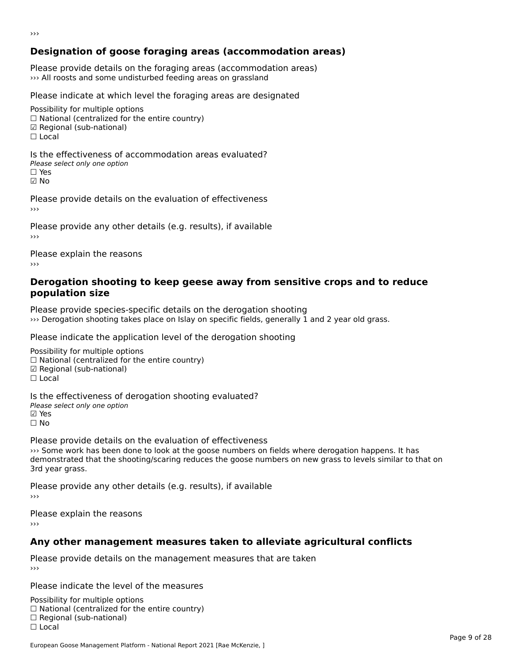# **Designation of goose foraging areas (accommodation areas)**

Please provide details on the foraging areas (accommodation areas) ››› All roosts and some undisturbed feeding areas on grassland

Please indicate at which level the foraging areas are designated

Possibility for multiple options  $\Box$  National (centralized for the entire country) ☑ Regional (sub-national)  $\Box$  Local

Is the effectiveness of accommodation areas evaluated?□ CILCCCCVCIC55 OF Q<br>Please select only one option ☑ No

Please provide details on the evaluation of effectiveness

Please provide any other details (e.g. results), if available

Please explain the reasons

#### **Derogation shooting to keep geese away from sensitive crops and to reduce population size**

Please provide species-specific details on the derogation shooting ››› Derogation shooting takes place on Islay on specific fields, generally 1 and 2 year old grass.

Please indicate the application level of the derogation shooting

Possibility for multiple options гозыянку тог напарне орабль<br>□ National (centralized for the entire country) ☑ Regional (sub-national) ⊠ Regio<br>□ Local Is the effectiveness of derogation shooting evaluated?

□ the enectiveness of o<br>Please select only one option ☐ No

Please provide details on the evaluation of effectiveness ››› Some work has been done to look at the goose numbers on fields where derogation happens. It has demonstrated that the shooting/scaring reduces the goose numbers on new search derogation nappens. It has<br>demonstrated that the shooting/scaring reduces the goose numbers on new grass to levels similar to that on 3rd year grass.

Please provide any other details (e.g. results), if available

Please explain the reasons›››

# **Any other management measures taken to alleviate agricultural conflicts**

Please provide details on the management measures that are taken

Please indicate the level of the measures

Possibility for multiple options гозывниу тог нингріе орноть<br>□ National (centralized for the entire country)  $\Box$  Regional (Sub-national)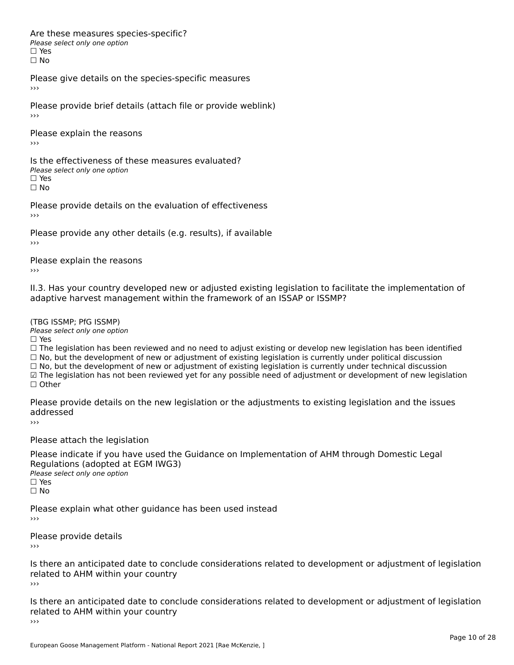Are these measures species-specific?∩ne enese measures spe<br>Please select only one option □ Yes<br>□ No

Please give details on the species-specific measures

Please provide brief details (attach file or provide weblink)›››

Please explain the reasons›››

Is the effectiveness of these measures evaluated?□ CITC CITCCLIVERESS OF C<br>Please select only one option □ Yes<br>□ No

Please provide details on the evaluation of effectiveness

Please provide any other details (e.g. results), if available

Please explain the reasons

II.3. Has your country developed new or adjusted existing legislation to facilitate the implementation of adaptive harvest management within the framework of an ISSAP or ISSMP?

(TBG ISSMP; PfG ISSMP)

Please select only one option ☐ Yes

□ Yes<br>□ The legislation has been reviewed and no need to adjust existing or develop new legislation has been identified  $\Box$  The regislation has been reviewed and no need to adjust existing or develop hew regislation has been identify and  $\Box$  No, but the development of new or adjustment of existing legislation is currently under political □ No, but the development of new or adjustment of existing legislation is currently under political discussion<br>□ No, but the development of new or adjustment of existing legislation is currently under technical discussion ☑ The legislation has not been reviewed yet for any possible need of adjustment or development of new legislation

☐ Other

Please provide details on the new legislation or the adjustments to existing legislation and the issues addressed

Please attach the legislation

Please indicate if you have used the Guidance on Implementation of AHM through Domestic Legal Piease indicate if you have used the<br>Regulations (adopted at EGM IWG3) Please select only one option ☐ Yes☐ No

Please explain what other guidance has been used instead

Please provide details

Is there an anticipated date to conclude considerations related to development or adjustment of legislation related to AHM within your country ›››

Is there an anticipated date to conclude considerations related to development or adjustment of legislation Fracture to Army within your country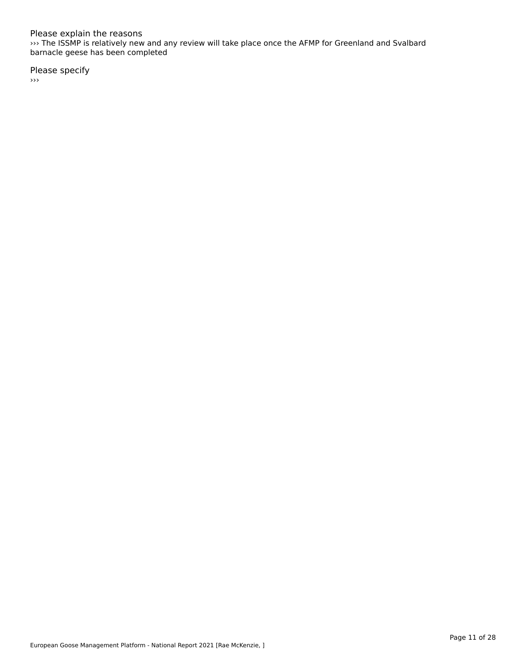#### Please explain the reasons

››› The ISSMP is relatively new and any review will take place once the AFMP for Greenland and Svalbard barnacle geese has been completed

Please specify

›››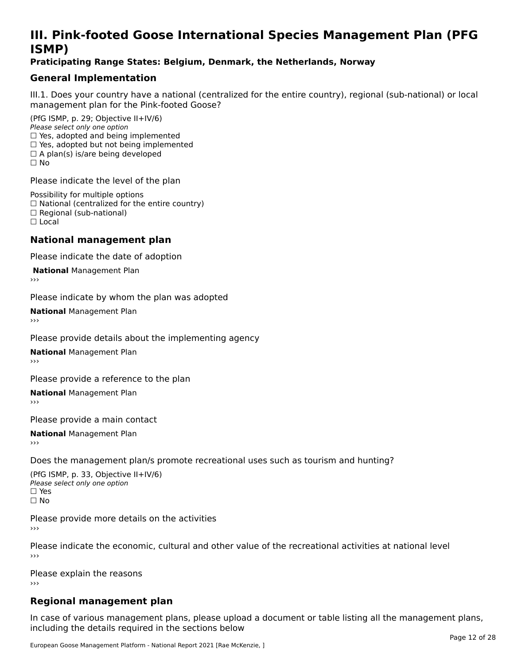# **III. Pink-footed Goose International Species Management Plan (PFG**III. FII<br>ICMAD)

### **Praticipating Range States: Belgium, Denmark, the Netherlands, Norway**

### **General Implementation**

III.1. Does your country have a national (centralized for the entire country), regional (sub-national) or local

(PfG ISMP, p. 29; Objective II+IV/6) Please select only one option *riease select only one option*<br>□ Yes, adopted and being implemented  $\Box$  ies, adopted and being implemented<br> $\Box$  Yes, adopted but not being implemented  $\Box$  A plan(s) is/are being developed ☐ No

Please indicate the level of the plan

Possibility for multiple options rossibility for multiple options<br>□ National (centralized for the entire country) □ National (centralized io<br>□ Regional (sub-national) ☐ Local

#### **National management plan**

Please indicate the date of adoption

**National Management Plan** 

Please indicate by whom the plan was adopted

**National** Management Plan

Please provide details about the implementing agency

**National** Management Plan

Please provide a reference to the plan

**National** Management Plan

Please provide a main contact

**National** Management Plan

Does the management plan/s promote recreational uses such as tourism and hunting?

(PfG ISMP, p. 33, Objective II+IV/6) Please select only one optionPlease select only one option  $\square$  Yes ☐ No

Please provide more details on the activities

Please indicate the economic, cultural and other value of the recreational activities at national level

Please explain the reasons ›››

# **Regional management plan**

In case of various management plans, please upload a document or table listing all the management plans,in case or various management plans, please uploa<br>in the direct below the its required in the sections below including the details required in the sections below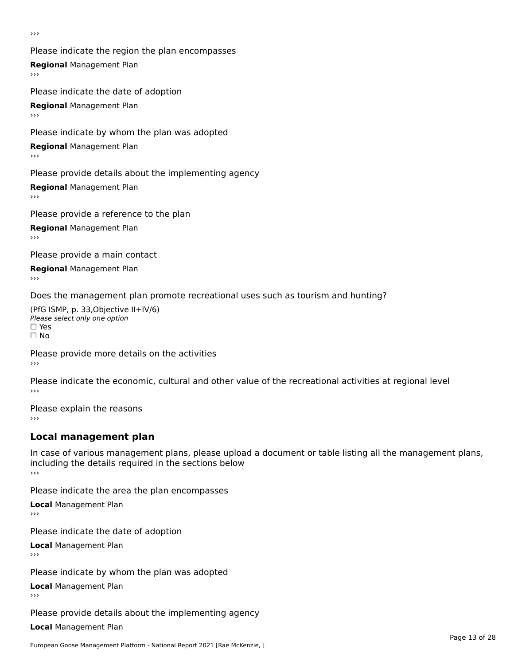›››

Please indicate the region the plan encompasses **Regional** Management Plan Please indicate the date of adoption

**Regional** Management Plan

Please indicate by whom the plan was adopted

**Regional** Management Plan

Please provide details about the implementing agency

**Regional** Management Plan

Please provide a reference to the plan

**Regional** Management Plan

Please provide a main contact

**Regional** Management Plan

Does the management plan promote recreational uses such as tourism and hunting?

(PfG ISMP, p. 33,Objective II+IV/6) ∩∩ וויוכו פון<br>Please select only one option<br>□ Yes □ Yes<br>□ No

Please provide more details on the activities ›››

Please indicate the economic, cultural and other value of the recreational activities at regional level

Please explain the reasons ›››

# **Local management plan**

In case of various management plans, please upload a document or table listing all the management plans, in case or various management plans, please uploa<br>including the details required in the sections below ›››

Please indicate the area the plan encompasses

**Local** Management Plan

Please indicate the date of adoption

**Local** Management Plan›››

Please indicate by whom the plan was adopted

**Local** Management Plan

Please provide details about the implementing agency

**Local** Management Plan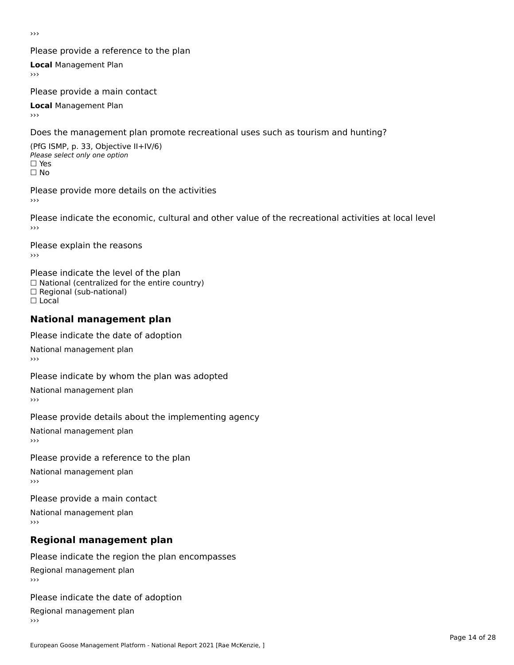›››

### Please provide a reference to the plan

**Local** Management Plan

Please provide a main contact

**Local** Management Plan

Does the management plan promote recreational uses such as tourism and hunting?

(PfG ISMP, p. 33, Objective II+IV/6) Please select only one option☐ Yes☐ No

Please provide more details on the activities

Please indicate the economic, cultural and other value of the recreational activities at local level

Please explain the reasons ›››

Please indicate the level of the plan ∩ease marcate the lever of the plan<br>□ National (centralized for the entire country) □ National (centralized io<br>□ Regional (sub-national) ☐ Local

#### **National management plan**

Please indicate the date of adoption

National management plan

Please indicate by whom the plan was adopted

National management plan

Please provide details about the implementing agency

National management plan

Please provide a reference to the plan

National management plan

Please provide a main contact

National management plan

# **Regional management plan**

Please indicate the region the plan encompasses Regional management plan

Please indicate the date of adoption

Regional management plan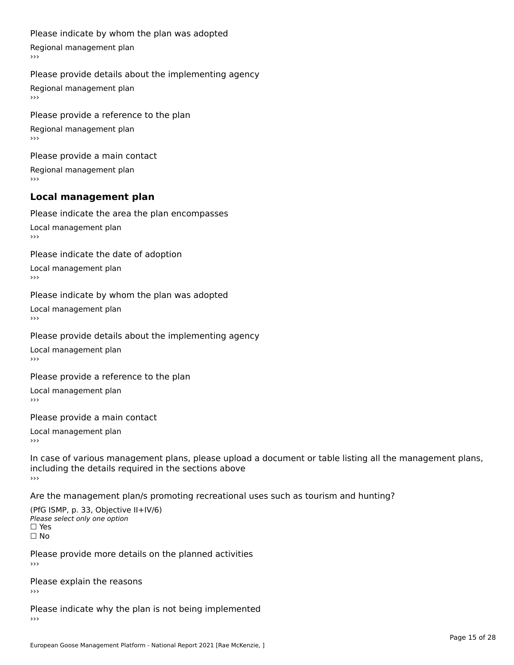#### Please indicate by whom the plan was adopted

Regional management plan

#### Please provide details about the implementing agency

Regional management plan

Please provide a reference to the plan Regional management plan

Please provide a main contact Regional management plan

# **Local management plan**

Please indicate the area the plan encompasses

Local management plan $\overline{\phantom{a}}$  $\rightarrow$   $>$ 

Please indicate the date of adoption

Local management plan $\overline{v}$ 

Please indicate by whom the plan was adopted Local management plan›››

Please provide details about the implementing agency

Local management plan $\overline{v}$ 

Please provide a reference to the plan

Local management plan›››

Please provide a main contact

Local management plan $\overline{v}$ 

In case of various management plans, please upload a document or table listing all the management plans,in case or various management plans, please upload including the details required in the sections above<br>>>>

Are the management plan/s promoting recreational uses such as tourism and hunting?

(PfG ISMP, p. 33, Objective II+IV/6) Please select only one option☐ Yes☐ No

Please provide more details on the planned activities

Please explain the reasons›››

Please indicate why the plan is not being implemented›››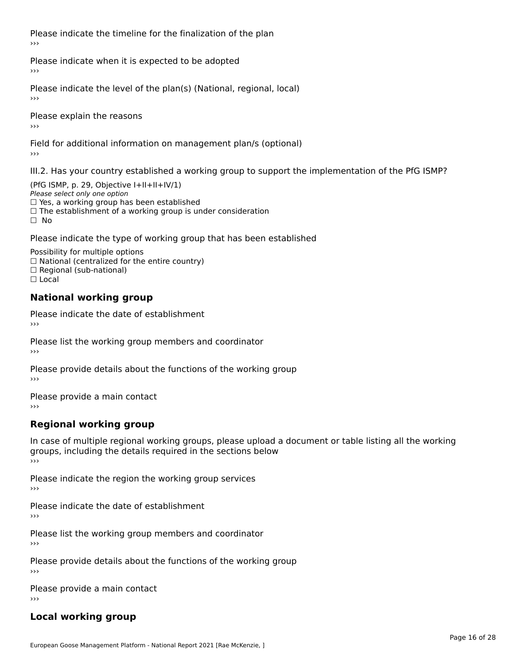Please indicate the timeline for the finalization of the plan›››

Please indicate when it is expected to be adopted

Please indicate the level of the plan(s) (National, regional, local)

Please explain the reasons›››

Field for additional information on management plan/s (optional)

III.2. Has your country established a working group to support the implementation of the PfG ISMP?

(PfG ISMP, p. 29, Objective  $I+II+II+IV/1$ ) Please select only one option □ Yes, a working group has been established □ Tes, a working group has been established<br>□ The establishment of a working group is under consideration

Please indicate the type of working group that has been established

Possibility for multiple options  $\Box$  National (centralized for the entire country)  $\Box$  Regional (sub-national)  $\Box$  Local

#### **National working group**

Please indicate the date of establishment›››

Please list the working group members and coordinator ›››

Please provide details about the functions of the working group ›››

Please provide a main contact ›››

# **Regional working group**

In case of multiple regional working groups, please upload a document or table listing all the working In case of multiple regional working groups, please upload a<br>groups, including the details required in the sections below ›››

Please indicate the region the working group services ›››

Please indicate the date of establishment ›››

Please list the working group members and coordinator ›››

Please provide details about the functions of the working group ›››

Please provide a main contact ›››

# **Local working group**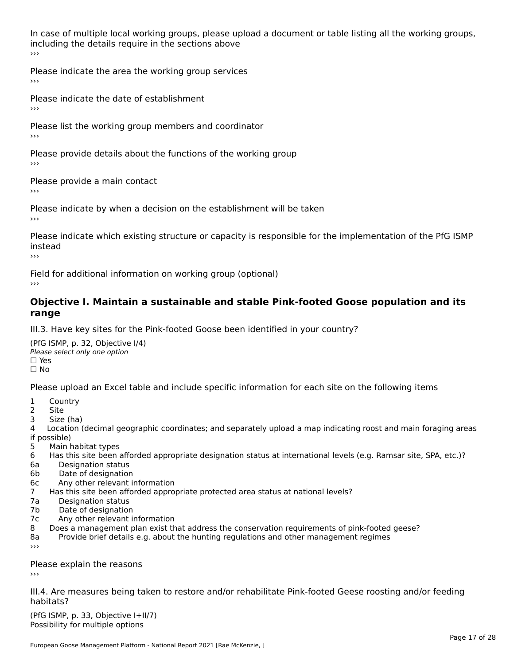In case of multiple local working groups, please upload a document or table listing all the working groups, including the details require in the sections above<br>>>>

Please indicate the area the working group services ›››

Please indicate the date of establishment ›››

Please list the working group members and coordinator ›››

Please provide details about the functions of the working group ›››

Please provide a main contact ›››

Please indicate by when a decision on the establishment will be taken

Please indicate which existing structure or capacity is responsible for the implementation of the PfG ISMP instead

Field for additional information on working group (optional)

#### **Objective I. Maintain a sustainable and stable Pink-footed Goose population and its range**range

III.3. Have key sites for the Pink-footed Goose been identified in your country?

(PfG ISMP, p. 32, Objective I/4)Please select only one option ☐ Yes□ Yes<br>□ No

Please upload an Excel table and include specific information for each site on the following items

- $1 \quad \alpha$
- 2 Site
- 2 Site<br>3 Size (ha)

د حدد una<br>4 Location (decimal geographic coordinates; and separately upload a map indicating roost and main foraging areas 4 Location<br>if possible)

- 5 Main habitat types
- 6 Has this site been afforded appropriate designation status at international levels (e.g. Ramsar site, SPA, etc.)? 6. Bestweetter status
- 6a Designation status<br>6b Date of designation
- 
- 6c Any other relevant information
- 7 Has this site been afforded appropriate protected area status at national levels? 7a Designation status
- 7a Designation status<br>7b Date of designation
- 
- 7c Any other relevant information
- 8 Does a management plan exist that address the conservation requirements of pink-footed geese?
- 8a Provide brief details e.g. about the hunting regulations and other management regimes ›››

Please explain the reasons

III.4. Are measures being taken to restore and/or rehabilitate Pink-footed Geese roosting and/or feeding habitats?

 $(PCI GMP, p. 33, Qb)$  is the I+II/7) Possibility for multiple optionsPossibility for multiple options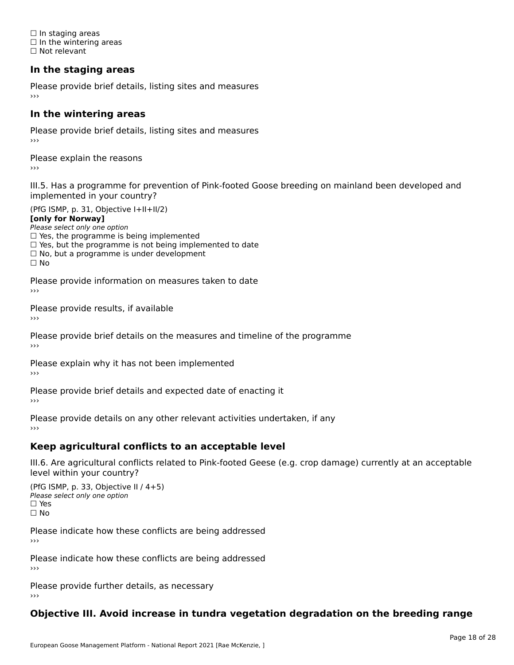☐ In staging areas □ in staging areas<br>□ In the wintering areas ☐ Not relevant

# **In the staging areas**

Please provide brief details, listing sites and measures ›››

#### **In the wintering areas**

Please provide brief details, listing sites and measures ›››

Please explain the reasons

III.5. Has a programme for prevention of Pink-footed Goose breeding on mainland been developed and

(PfG ISMP, p. 31, Objective I+II+II/2)

**[only for Norway]**

Please select only one option riease select only one option<br>□ Yes, the programme is being implemented

 $\Box$  ies, the programme is being implemented to date  $\Box$  Yes, but the programme is not being implemented to date

 $\Box$  No, but a programme is under development

Please provide information on measures taken to date

Please provide results, if available

Please provide brief details on the measures and timeline of the programme›››

Please explain why it has not been implemented

Please provide brief details and expected date of enacting it

Please provide details on any other relevant activities undertaken, if any›››

### **Keep agricultural conflicts to an acceptable level**

III.6. Are agricultural conflicts related to Pink-footed Geese (e.g. crop damage) currently at an acceptable

(PfG ISMP, p. 33, Objective II / 4+5)Please select only one option ☐ Yes☐ No

Please indicate how these conflicts are being addressed

Please indicate how these conflicts are being addressed›››

Please provide further details, as necessary ›››

#### **Objective III. Avoid increase in tundra vegetation degradation on the breeding range**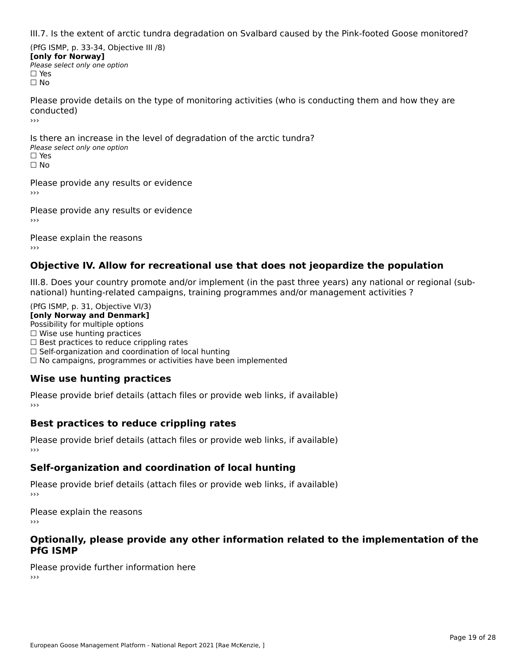III.7. Is the extent of arctic tundra degradation on Svalbard caused by the Pink-footed Goose monitored?

(PfG ISMP, p. 33-34, Objective III /8) **[only for Norway] Please select only one option** □ Yes<br>□ No

Please provide details on the type of monitoring activities (who is conducting them and how they are conducted)›››

Is there an increase in the level of degradation of the arctic tundra? □ CitCre dir increduce in c<br>Please select only one option □ Yes<br>□ No

Please provide any results or evidence

Please provide any results or evidence

Please explain the reasons›››

### **Objective IV. Allow for recreational use that does not jeopardize the population**

III.8. Does your country promote and/or implement (in the past three years) any national or regional (sub $m.0.168$  your country promove and/or miplement (in the past time years) any national or national) hunting-related campaigns, training programmes and/or management activities ?

(PfG ISMP, p. 31, Objective VI/3) **[only Norway and Denmark]** Possibility for multiple options ☐ Wise use hunting practices  $\Box$  wise use numing practices<br> $\Box$  Best practices to reduce crippling rates □ Best practices to reduce crippinig rates<br>□ Self-organization and coordination of local hunting □ Sen-organization and coordination or local nunting<br>□ No campaigns, programmes or activities have been implemented

# **Wise use hunting practices**

Please provide brief details (attach files or provide web links, if available) ›››

### **Best practices to reduce crippling rates**

Please provide brief details (attach files or provide web links, if available)

# **Self-organization and coordination of local hunting**

Please provide brief details (attach files or provide web links, if available)

Please explain the reasons›››

#### **Optionally, please provide any other information related to the implementation of the PfG ISMP**

Please provide further information here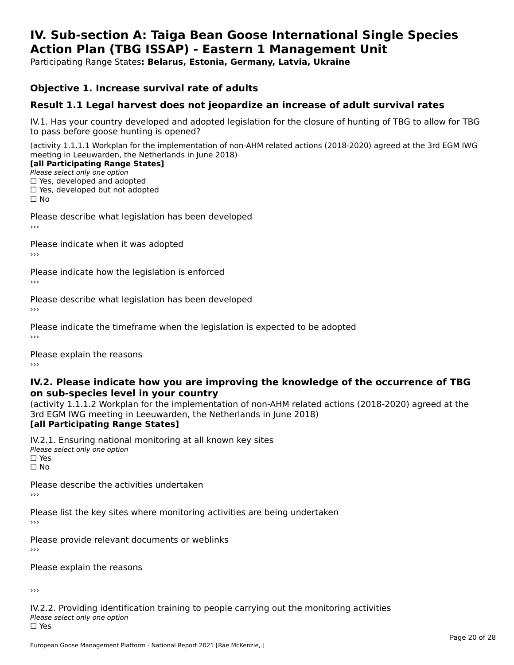#### **IV. Sub-section A: Taiga Bean Goose International Single Species Action Plan (TBG ISSAP) - Eastern 1 Management UnitAction Plan (TBG ISSAP) - Eastern 1 Management Unit**

Participating Range States**: Belarus, Estonia, Germany, Latvia, Ukraine** 

### **Objective 1. Increase survival rate of adults**

### **Result 1.1 Legal harvest does not jeopardize an increase of adult survival rates**

IV.1. Has your country developed and adopted legislation for the closure of hunting of TBG to allow for TBG IV.1. Thas your country developed and add<br>to pass before goose hunting is opened?

(activity 1.1.1.1 Workplan for the implementation of non-AHM related actions (2018-2020) agreed at the 3rd EGM IWG meeting in Leeuwarden, the Netherlands in June 2018)

#### [all Participating Range States]

Please select only one option ☐ Yes, developed and adopted

 ☐ Yes, developed but not adopted $\Box$  ies, developed but not adopted

Please describe what legislation has been developed

Please indicate when it was adopted

Please indicate how the legislation is enforced

Please describe what legislation has been developed

Please indicate the timeframe when the legislation is expected to be adopted

Please explain the reasons

#### **IV.2. Please indicate how you are improving the knowledge of the occurrence of TBG on sub-species level in your country**on sub-species level in your country

on sub-species fever in your country<br>(activity 1.1.1.2 Workplan for the implementation of non-AHM related actions (2018-2020) agreed at the **Brd EGM IWG meeting in Leeuwarden, the Netherlands in June 2018)** 

#### [all Participating Range States]

IV.2.1. Ensuring national monitoring at all known key sites <del>■ Western Chroning</del> Hational<br>Please select only one option □ Yes<br>□ No

Please describe the activities undertaken

Please list the key sites where monitoring activities are being undertaken

Please provide relevant documents or weblinks

Please explain the reasons

›››

IV.2.2. Providing identification training to people carrying out the monitoring activities Please select only one option<br>□ Yes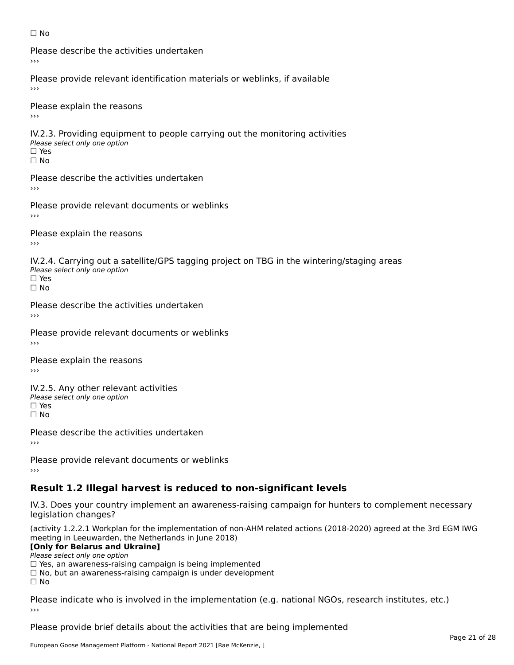#### ☐ No

Please describe the activities undertaken›››

Please provide relevant identification materials or weblinks, if available

Please explain the reasons

IV.2.3. Providing equipment to people carrying out the monitoring activities Please select only one option ☐ Yes□ Yes<br>□ No

Please describe the activities undertaken›››

Please provide relevant documents or weblinks

Please explain the reasons ›››

IV.2.4. Carrying out a satellite/GPS tagging project on TBG in the wintering/staging areas <del>∩</del><br>Please select only one option □ Yes<br>□ No

Please describe the activities undertaken›››

Please provide relevant documents or weblinks

Please explain the reasons

IV.2.5. Any other relevant activities Please select only one option ☐ Yes□ Yes<br>□ No

Please describe the activities undertaken›››

Please provide relevant documents or weblinks

# **Result 1.2 Illegal harvest is reduced to non-significant levels**

IV.3. Does your country implement an awareness-raising campaign for hunters to complement necessary rv.5. Does your court<br>legislation changes?

(activity 1.2.2.1 Workplan for the implementation of non-AHM related actions (2018-2020) agreed at the 3rd EGM IWG meeting in Leeuwarden, the Netherlands in June 2018)

#### **[Only for Belarus and Ukraine]**

Please select only one option

riease select only one option<br>□ Yes, an awareness-raising campaign is being implemented<br>□ Yes, an awareness-raising campaign is under development

□ No, but an awareness-raising campaign is under development<br>□ N。

 $\Box$  No

Please indicate who is involved in the implementation (e.g. national NGOs, research institutes, etc.)

Please provide brief details about the activities that are being implemented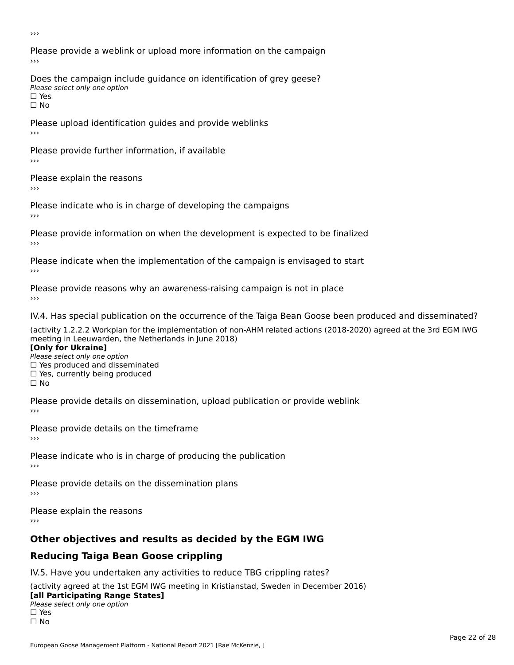›››

Please provide a weblink or upload more information on the campaign›››

Does the campaign include guidance on identification of grey geese? Please select only one option<br>□ Yes □ Yes<br>□ No

Please upload identification guides and provide weblinks ›››

Please provide further information, if available

Please explain the reasons

Please indicate who is in charge of developing the campaigns

Please provide information on when the development is expected to be finalized

Please indicate when the implementation of the campaign is envisaged to start

Please provide reasons why an awareness-raising campaign is not in place

IV.4. Has special publication on the occurrence of the Taiga Bean Goose been produced and disseminated?

(activity 1.2.2.2 Workplan for the implementation of non-AHM related actions (2018-2020) agreed at the 3rd EGM IWG **[Only for Ukraine]**

**□ Yes produced and disseminated**<br>Please select only one option  $\Box$  ies produced and disseminated  $\Box$  ies, currently being produced

Please provide details on dissemination, upload publication or provide weblink

Please provide details on the timeframe

Please indicate who is in charge of producing the publication

Please provide details on the dissemination plans

Please explain the reasons ›››

# **Other objectives and results as decided by the EGM IWG**

# **Reducing Taiga Bean Goose crippling**

IV.5. Have you undertaken any activities to reduce TBG crippling rates?

(activity agreed at the 1st EGM IWG meeting in Kristianstad, Sweden in December 2016) **[all Participating Range States]**[all Participating Range States]

### **Law Tarticipating Range**<br>Please select only one option

□ Yes<br>□ No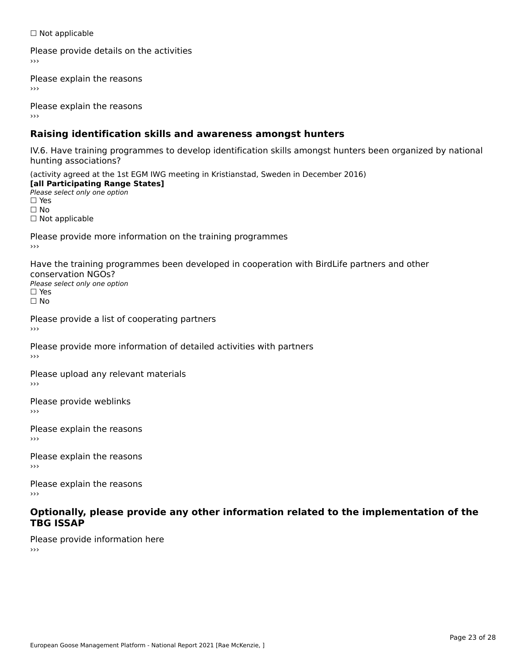☐ Not applicable

Please provide details on the activities

Please explain the reasons

Please explain the reasons

# **Raising identification skills and awareness amongst hunters**

IV.6. Have training programmes to develop identification skills amongst hunters been organized by national hunting associations?

(activity agreed at the 1st EGM IWG meeting in Kristianstad, Sweden in December 2016) **[all Participating Range States]**[all Participating Range States] **Lan Tarticipating Range**<br>Please select only one option ☐ Yes☐ No□ Not applicable

Please provide more information on the training programmes

Have the training programmes been developed in cooperation with BirdLife partners and other conservation NGOs?Please select only one option☐ Yes☐ No

Please provide a list of cooperating partners

Please provide more information of detailed activities with partners

Please upload any relevant materials

Please provide weblinks

Please explain the reasons

Please explain the reasons›››

Please explain the reasons

#### **Optionally, please provide any other information related to the implementation of the TBG ISSAP**

Please provide information here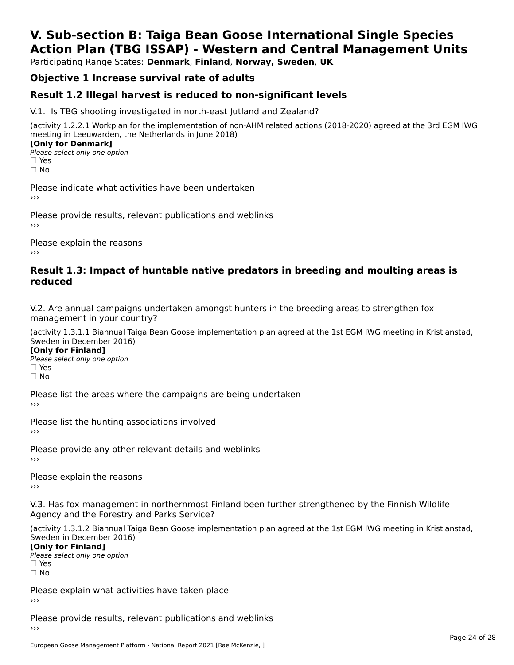# **V. Sub-section B: Taiga Bean Goose International Single SpeciesAction Plan (TBG ISSAP) - Western and Central Management Units**

Participating Range States: **Denmark**, **Finland**, **Norway, Sweden**, **UK**

# **Objective 1 Increase survival rate of adults**

### **Result 1.2 Illegal harvest is reduced to non-significant levels**

V.1. Is TBG shooting investigated in north-east Jutland and Zealand?

(activity 1.2.2.1 Workplan for the implementation of non-AHM related actions (2018-2020) agreed at the 3rd EGM IWG meeting in Leeuwarden, the Netherlands in June 2018) **[Only for Denmark]** 

**□ Please select only one option** □ Yes<br>□ No

Please indicate what activities have been undertaken›››

Please provide results, relevant publications and weblinks ›››

Please explain the reasons›››

#### **Result 1.3: Impact of huntable native predators in breeding and moulting areas is reduced**

V.2. Are annual campaigns undertaken amongst hunters in the breeding areas to strengthen fox v.z. Are annual campaigns und<br>management in your country?

(activity 1.3.1.1 Biannual Taiga Bean Goose implementation plan agreed at the 1st EGM IWG meeting in Kristianstad, Sweden in December 2016)

**[Only for Finland]** Please select only one optionriease<br>□ Yes □ Yes<br>□ No

Please list the areas where the campaigns are being undertaken

Please list the hunting associations involved

Please provide any other relevant details and weblinks ›››

Please explain the reasons

V.3. Has fox management in northernmost Finland been further strengthened by the Finnish Wildlife v.5. Has fox management in northernmost F<br>Agency and the Forestry and Parks Service?

(activity 1.3.1.2 Biannual Taiga Bean Goose implementation plan agreed at the 1st EGM IWG meeting in Kristianstad, Sweden in December 2016) Sweden in December 2016)

[Only for Finland]

**Please select only one option** □ Yes<br>□ No

Please explain what activities have taken place

Please provide results, relevant publications and weblinks ›››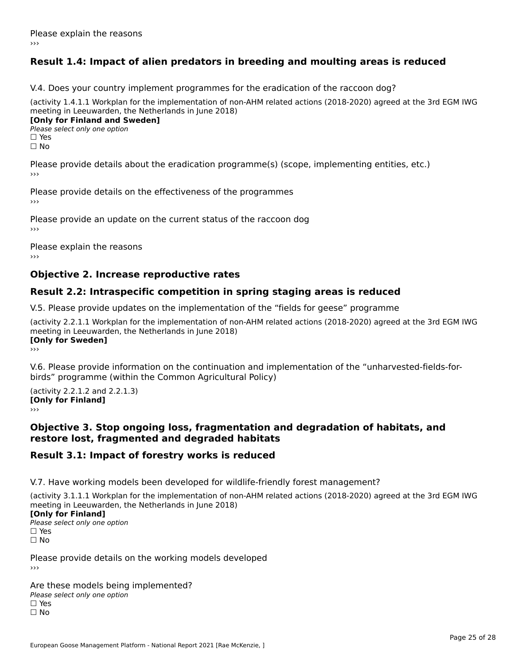# **Result 1.4: Impact of alien predators in breeding and moulting areas is reduced**

V.4. Does your country implement programmes for the eradication of the raccoon dog?

(activity 1.4.1.1 Workplan for the implementation of non-AHM related actions (2018-2020) agreed at the 3rd EGM IWG meeting in Leeuwarden, the Netherlands in June 2018) **[Only for Finland and Sweden]**

**Please select only one option** 

□ Yes<br>□ No

Please provide details about the eradication programme(s) (scope, implementing entities, etc.)

Please provide details on the effectiveness of the programmes

Please provide an update on the current status of the raccoon dog

Please explain the reasons

### **Objective 2. Increase reproductive rates**

### **Result 2.2: Intraspecific competition in spring staging areas is reduced**

V.5. Please provide updates on the implementation of the "fields for geese" programme

(activity 2.2.1.1 Workplan for the implementation of non-AHM related actions (2018-2020) agreed at the 3rd EGM IWG meeting in Leeuwarden, the Netherlands in June 2018) <u>Iony</u> ioi swedenj

V.6. Please provide information on the continuation and implementation of the "unharvested-fields-forbirds" programme (within the Common Agricultural Policy)birds" programme (within the Common Agricultural Policy)

(activity 2.2.1.2 and 2.2.1.3) **CONDUCTS**<br> **[Only for Finland]** 

#### **Objective 3. Stop ongoing loss, fragmentation and degradation of habitats, and restore lost, fragmented and degraded habitats**

### **Result 3.1: Impact of forestry works is reduced**

V.7. Have working models been developed for wildlife-friendly forest management?

(activity 3.1.1.1 Workplan for the implementation of non-AHM related actions (2018-2020) agreed at the 3rd EGM IWG

#### **[Only for Finland]**

**Please select only one option** □ Yes<br>□ No

Please provide details on the working models developed›››

Are these models being implemented? ∩ne enese moders being<br>Please select only one option □ Yes<br>□ No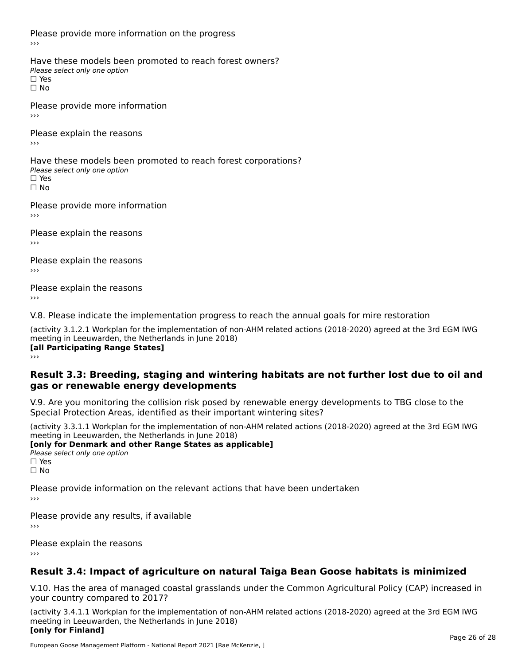Please provide more information on the progress

Have these models been promoted to reach forest owners? ∩ave these models bee<br>Please select only one option □ Yes<br>□ No

Please provide more information›››

Please explain the reasons ›››

Have these models been promoted to reach forest corporations? ∩ave these models bee<br>Please select only one option □ Yes<br>□ No

Please provide more information›››

Please explain the reasons ›››

Please explain the reasons›››

Please explain the reasons›››

V.8. Please indicate the implementation progress to reach the annual goals for mire restoration

(activity 3.1.2.1 Workplan for the implementation of non-AHM related actions (2018-2020) agreed at the 3rd EGM IWG meeting in Leeuwarden, the Netherlands in June 2018) **[all Participating Range States]** ›››

#### **Result 3.3: Breeding, staging and wintering habitats are not further lost due to oil andgas or renewable energy developments**

gas or renewable energy developments

V.9. Are you monitoring the collision risk posed by renewable energy developments to TBG close to the Special Protection Areas, identified as their important wintering sites?

(activity 3.3.1.1 Workplan for the implementation of non-AHM related actions (2018-2020) agreed at the 3rd EGM IWG **[only for Denmark and other Range States as applicable]**

```
Please select only one option
□ Yes<br>□ No
```
Please provide information on the relevant actions that have been undertaken ›››

Please provide any results, if available

Please explain the reasons

# **Result 3.4: Impact of agriculture on natural Taiga Bean Goose habitats is minimized**

V.10. Has the area of managed coastal grasslands under the Common Agricultural Policy (CAP) increased in

(activity 3.4.1.1 Workplan for the implementation of non-AHM related actions (2018-2020) agreed at the 3rd EGM IWG meeting in Leeuwarden, the Netherlands in June 2018) **[only for Finland]**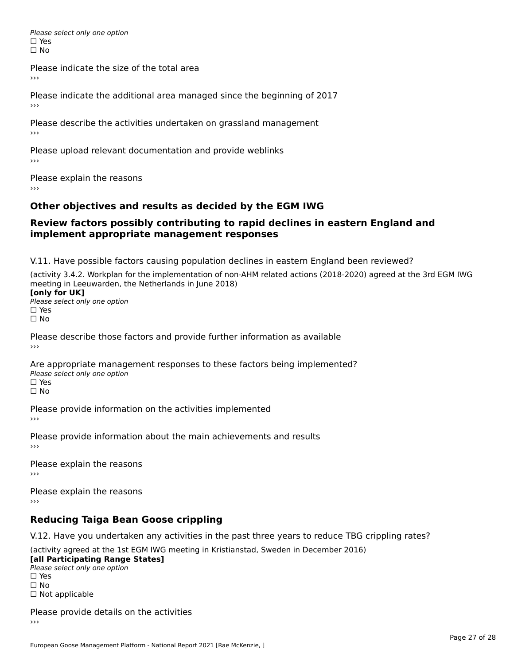Please select only one option □ Yes<br>□ No

Please indicate the size of the total area

›››

Please indicate the additional area managed since the beginning of 2017

Please describe the activities undertaken on grassland management ›››

Please upload relevant documentation and provide weblinks

Please explain the reasons

# **Other objectives and results as decided by the EGM IWG**

#### **Review factors possibly contributing to rapid declines in eastern England andimplement appropriate management responses**implement appropriate management responses

V.11. Have possible factors causing population declines in eastern England been reviewed?

(activity 3.4.2. Workplan for the implementation of non-AHM related actions (2018-2020) agreed at the 3rd EGM IWGmeeting in Leeuwarden, the Netherlands in June 2018) meeting in Leeuwarden, the Netherlands in June 2018)<br>**[only for UK]** 

**∐omy for OR**<br>Please select only one option □ Yes<br>□ No

Please describe those factors and provide further information as available

Are appropriate management responses to these factors being implemented? Please select only one option ים<br>⊡ No

Please provide information on the activities implemented ›››

Please provide information about the main achievements and results›››

Please explain the reasons›››

Please explain the reasons ›››

# **Reducing Taiga Bean Goose crippling**

V.12. Have you undertaken any activities in the past three years to reduce TBG crippling rates?

(activity agreed at the 1st EGM IWG meeting in Kristianstad, Sweden in December 2016) **[all Participating Range States]**

[all Participating Range States] Please select only one option☐ Yesים<br>⊡ No □ Not applicable

Please provide details on the activities››› $\rightarrow$   $>$